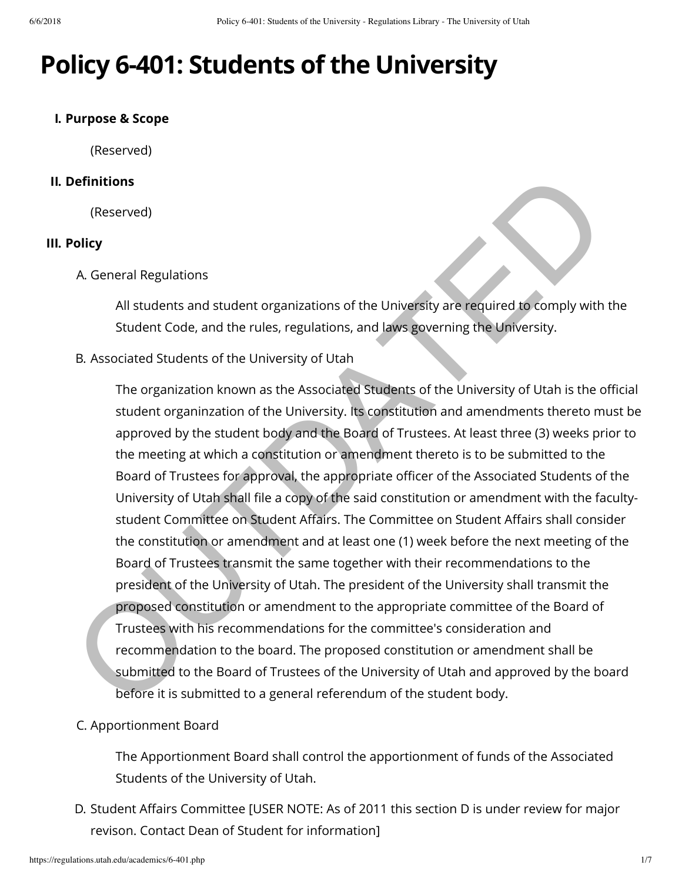# **Policy 6-401: Students of the University**

#### **I. Purpose & Scope**

(Reserved)

#### **II. Definitions**

(Reserved)

#### **III. Policy**

A. General Regulations

All students and student organizations of the University are required to comply with the Student Code, and the rules, regulations, and laws governing the University.

B. Associated Students of the University of Utah

The organization known as the Associated Students of the University of Utah is the official student organinzation of the University. Its constitution and amendments thereto must be approved by the student body and the Board of Trustees. At least three (3) weeks prior to the meeting at which a constitution or amendment thereto is to be submitted to the Board of Trustees for approval, the appropriate officer of the Associated Students of the University of Utah shall file a copy of the said constitution or amendment with the facultystudent Committee on Student Affairs. The Committee on Student Affairs shall consider the constitution or amendment and at least one (1) week before the next meeting of the Board of Trustees transmit the same together with their recommendations to the president of the University of Utah. The president of the University shall transmit the proposed constitution or amendment to the appropriate committee of the Board of Trustees with his recommendations for the committee's consideration and recommendation to the board. The proposed constitution or amendment shall be submitted to the Board of Trustees of the University of Utah and approved by the board before it is submitted to a general referendum of the student body. **Example 10**<br>
Serial Regulations<br>
All students and student organizations of the University are required to comply with<br>
Suddent Code, and the rules, regulations, and laws governing the University.<br>
B. Associated Students o

#### C. Apportionment Board

The Apportionment Board shall control the apportionment of funds of the Associated Students of the University of Utah.

D. Student Affairs Committee [USER NOTE: As of 2011 this section D is under review for major revison. Contact Dean of Student for information]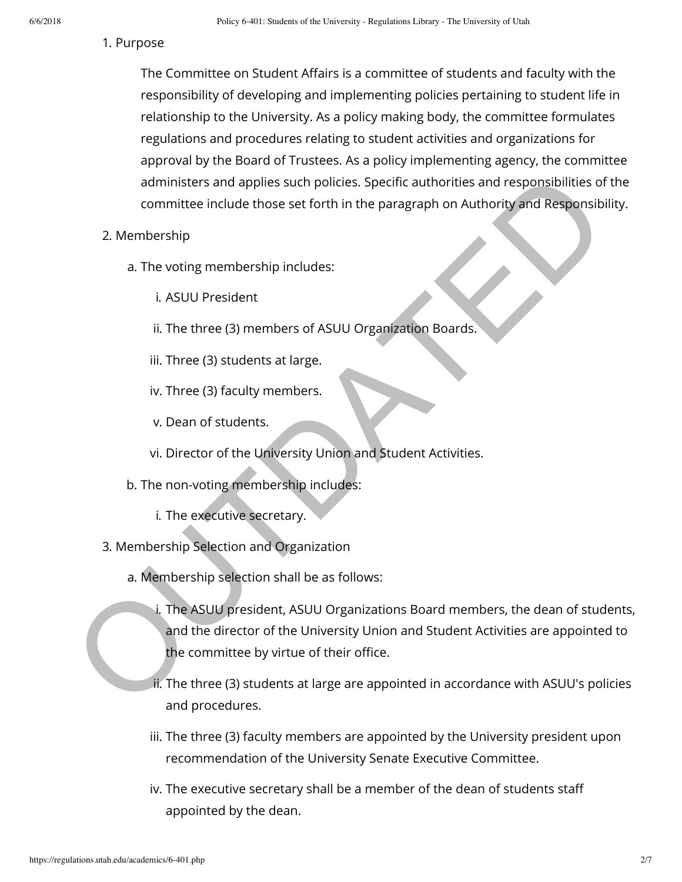#### 1. Purpose

The Committee on Student Affairs is a committee of students and faculty with the responsibility of developing and implementing policies pertaining to student life in relationship to the University. As a policy making body, the committee formulates regulations and procedures relating to student activities and organizations for approval by the Board of Trustees. As a policy implementing agency, the committee administers and applies such policies. Specific authorities and responsibilities of the committee include those set forth in the paragraph on Authority and Responsibility.

- 2. Membership
	- a. The voting membership includes:
		- i. ASUU President
		- ii. The three (3) members of ASUU Organization Boards.
		- iii. Three (3) students at large.
		- iv. Three (3) faculty members.
		- v. Dean of students.
		- vi. Director of the University Union and Student Activities.
	- b. The non-voting membership includes:
		- i. The executive secretary.
- 3. Membership Selection and Organization
	- a. Membership selection shall be as follows:
- i. The ASUU president, ASUU Organizations Board members, the dean of students, and the director of the University Union and Student Activities are appointed to the committee by virtue of their office. administers and applies such policies. Specific authorities and responsibilities of<br>
committee include those set forth in the paragraph on Authority and Responsibility<br>
2. Membership<br>
a. The voting membership includes:<br>
i.
	- ii. The three (3) students at large are appointed in accordance with ASUU's policies and procedures.
	- iii. The three (3) faculty members are appointed by the University president upon recommendation of the University Senate Executive Committee.
	- iv. The executive secretary shall be a member of the dean of students sta appointed by the dean.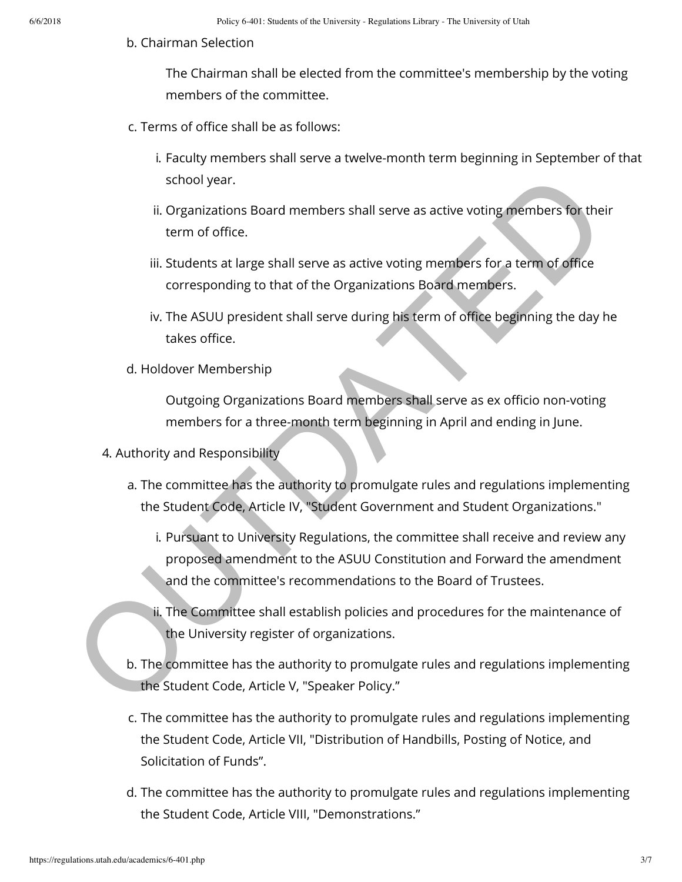#### b. Chairman Selection

The Chairman shall be elected from the committee's membership by the voting members of the committee.

- $c$ . Terms of office shall be as follows:
	- i. Faculty members shall serve a twelve-month term beginning in September of that school year.
	- ii. Organizations Board members shall serve as active voting members for their term of office.
	- iii. Students at large shall serve as active voting members for a term of office corresponding to that of the Organizations Board members.
	- iv. The ASUU president shall serve during his term of office beginning the day he takes office.
- d. Holdover Membership

Outgoing Organizations Board members shall serve as ex officio non-voting members for a three-month term beginning in April and ending in June.

- 4. Authority and Responsibility
	- a. The committee has the authority to promulgate rules and regulations implementing the Student Code, Article IV, "Student Government and Student Organizations."
- i. Pursuant to University Regulations, the committee shall receive and review any proposed amendment to the ASUU Constitution and Forward the amendment and the committee's recommendations to the Board of Trustees. school year.<br>
ii. Organizations Board members shall serve as active voting members for their term of office.<br>
iii. Students at large shall serve as active voting members for a term of office<br>
corresponding to that of the O
	- ii. The Committee shall establish policies and procedures for the maintenance of the University register of organizations.
	- b. The committee has the authority to promulgate rules and regulations implementing the Student Code, Article V, "Speaker Policy."
	- c. The committee has the authority to promulgate rules and regulations implementing the Student Code, Article VII, "Distribution of Handbills, Posting of Notice, and Solicitation of Funds".
	- d. The committee has the authority to promulgate rules and regulations implementing the Student Code, Article VIII, "Demonstrations."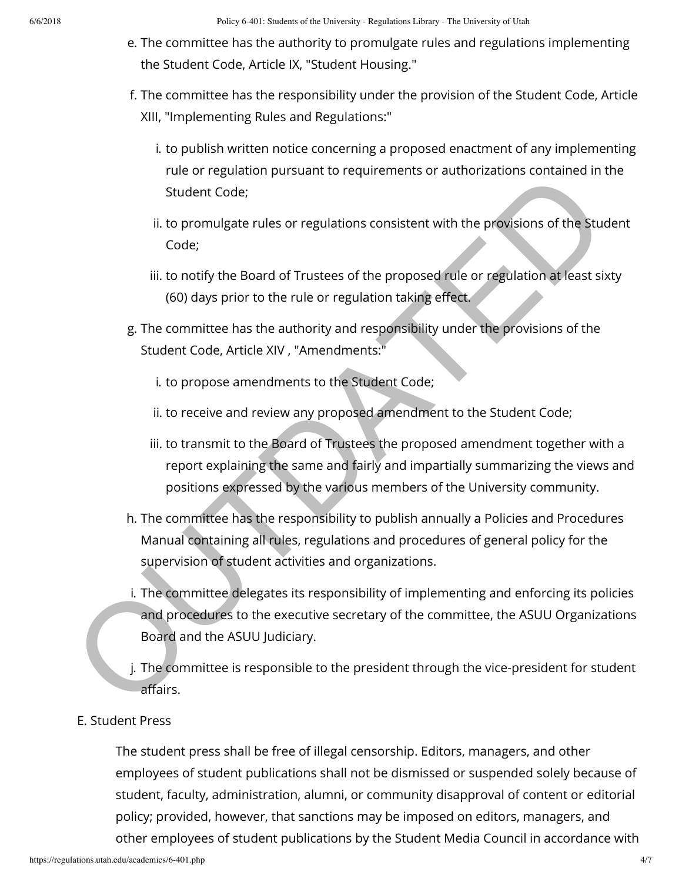- e. The committee has the authority to promulgate rules and regulations implementing the Student Code, Article IX, "Student Housing."
- f. The committee has the responsibility under the provision of the Student Code, Article XIII, "Implementing Rules and Regulations:"
	- i. to publish written notice concerning a proposed enactment of any implementing rule or regulation pursuant to requirements or authorizations contained in the Student Code;
	- ii. to promulgate rules or regulations consistent with the provisions of the Student Code;
	- iii. to notify the Board of Trustees of the proposed rule or regulation at least sixty (60) days prior to the rule or regulation taking effect.
- g. The committee has the authority and responsibility under the provisions of the Student Code, Article XIV , "Amendments:"
	- i. to propose amendments to the Student Code;
	- ii. to receive and review any proposed amendment to the Student Code;
	- iii. to transmit to the Board of Trustees the proposed amendment together with a report explaining the same and fairly and impartially summarizing the views and positions expressed by the various members of the University community.
- h. The committee has the responsibility to publish annually a Policies and Procedures Manual containing all rules, regulations and procedures of general policy for the supervision of student activities and organizations.
- i. The committee delegates its responsibility of implementing and enforcing its policies and procedures to the executive secretary of the committee, the ASUU Organizations Board and the ASUU Judiciary. Student Code;<br>
Student Code;<br>
it to promulgate rules or regulations consistent with the provisions of the Student Code;<br>
ii. to notify the Board of Trustees of the proposed rule or regulation at least sb<br>
(60) days prior t
	- j. The committee is responsible to the president through the vice-president for student affairs.

#### E. Student Press

The student press shall be free of illegal censorship. Editors, managers, and other employees of student publications shall not be dismissed or suspended solely because of student, faculty, administration, alumni, or community disapproval of content or editorial policy; provided, however, that sanctions may be imposed on editors, managers, and other employees of student publications by the Student Media Council in accordance with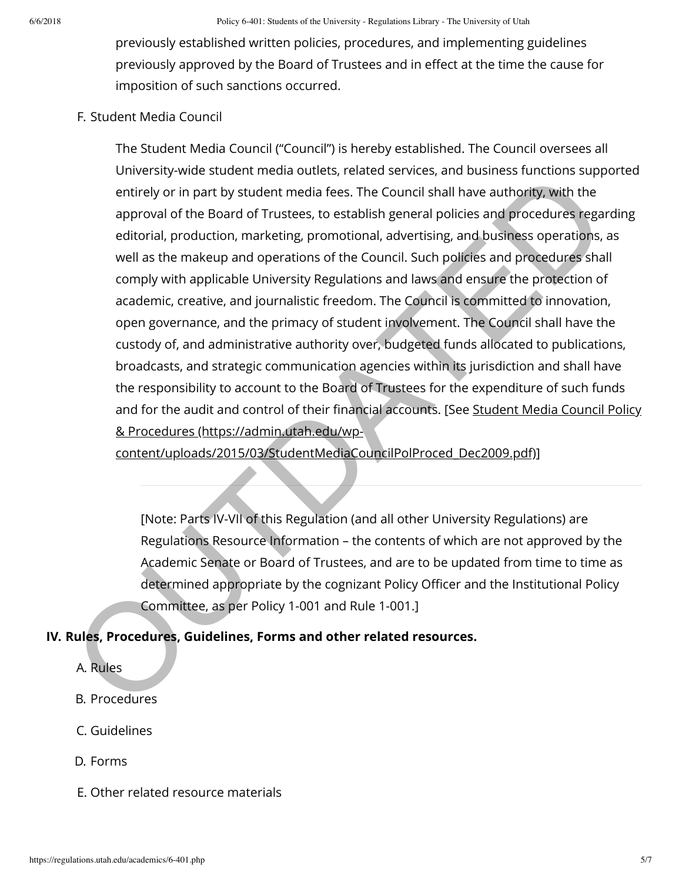previously established written policies, procedures, and implementing guidelines previously approved by the Board of Trustees and in effect at the time the cause for imposition of such sanctions occurred.

# F. Student Media Council

The Student Media Council ("Council") is hereby established. The Council oversees all University-wide student media outlets, related services, and business functions supported entirely or in part by student media fees. The Council shall have authority, with the approval of the Board of Trustees, to establish general policies and procedures regarding editorial, production, marketing, promotional, advertising, and business operations, as well as the makeup and operations of the Council. Such policies and procedures shall comply with applicable University Regulations and laws and ensure the protection of academic, creative, and journalistic freedom. The Council is committed to innovation, open governance, and the primacy of student involvement. The Council shall have the custody of, and administrative authority over, budgeted funds allocated to publications, broadcasts, and strategic communication agencies within its jurisdiction and shall have the responsibility to account to the Board of Trustees for the expenditure of such funds and for the audit and control of their financial accounts. [See Student Media Council Policy & Procedures (https://admin.utah.edu/wpentricy was successive and control and others. The Council shall have authority, with the entricly or in part by student media frees. The Council shall have authority, with the approval of the Board of Trustees, to establi

content/uploads/2015/03/StudentMediaCouncilPolProced\_Dec2009.pdf)]

[Note: Parts IV-VII of this Regulation (and all other University Regulations) are Regulations Resource Information – the contents of which are not approved by the Academic Senate or Board of Trustees, and are to be updated from time to time as determined appropriate by the cognizant Policy Officer and the Institutional Policy Committee, as per Policy 1-001 and Rule 1-001.]

# **IV. Rules, Procedures, Guidelines, Forms and other related resources.**

- A. Rules
- B. Procedures
- C. Guidelines
- D. Forms
- E. Other related resource materials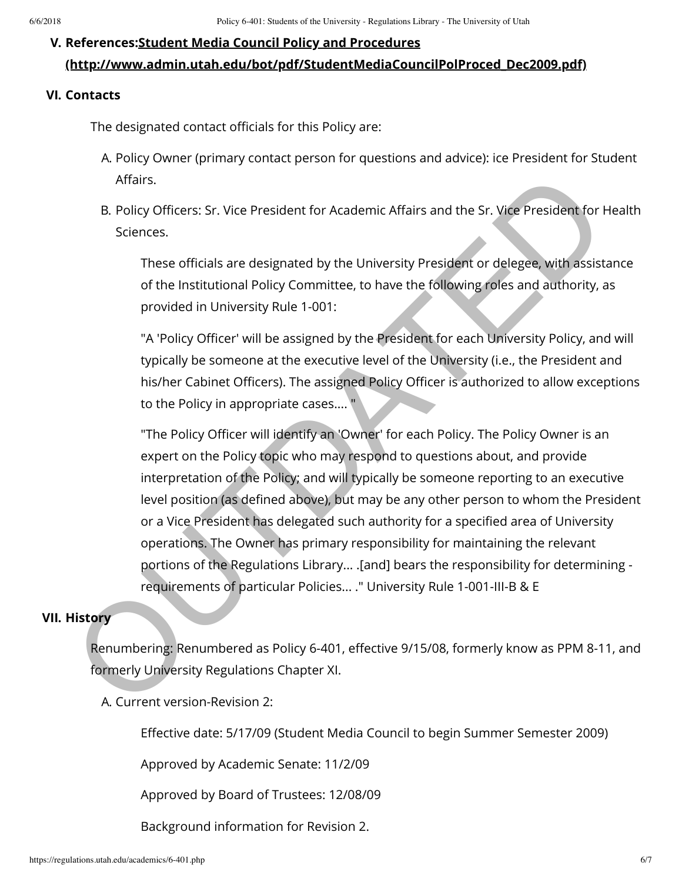# **V. References:Student Media Council Policy and Procedures**

# **[\(http://www.admin.utah.edu/bot/pdf/StudentMediaCouncilPolProced\\_Dec2009.pdf\)](http://www.admin.utah.edu/bot/pdf/StudentMediaCouncilPolProced_Dec2009.pdf)**

# **VI. Contacts**

The designated contact officials for this Policy are:

- A. Policy Owner (primary contact person for questions and advice): ice President for Student Affairs.
- B. Policy Officers: Sr. Vice President for Academic Affairs and the Sr. Vice President for Health Sciences.

These officials are designated by the University President or delegee, with assistance of the Institutional Policy Committee, to have the following roles and authority, as provided in University Rule 1-001:

"A 'Policy Officer' will be assigned by the President for each University Policy, and will typically be someone at the executive level of the University (i.e., the President and his/her Cabinet Officers). The assigned Policy Officer is authorized to allow exceptions to the Policy in appropriate cases.... "

"The Policy Officer will identify an 'Owner' for each Policy. The Policy Owner is an expert on the Policy topic who may respond to questions about, and provide interpretation of the Policy; and will typically be someone reporting to an executive level position (as defined above), but may be any other person to whom the President or a Vice President has delegated such authority for a specified area of University operations. The Owner has primary responsibility for maintaining the relevant portions of the Regulations Library... .[and] bears the responsibility for determining requirements of particular Policies... ." University Rule 1-001-III-B & E Affairs.<br>
B. Policy Officers: Sr. Vice President for Academic Affairs and the Sr. Vice President for Sciences.<br>
These officials are designated by the University President or delegee, with assists of the institutional Poli

# **VII. History**

Renumbering: Renumbered as Policy 6-401, effective 9/15/08, formerly know as PPM 8-11, and formerly University Regulations Chapter XI.

A. Current version-Revision 2:

Effective date: 5/17/09 (Student Media Council to begin Summer Semester 2009)

Approved by Academic Senate: 11/2/09

Approved by Board of Trustees: 12/08/09

Background information for Revision 2.